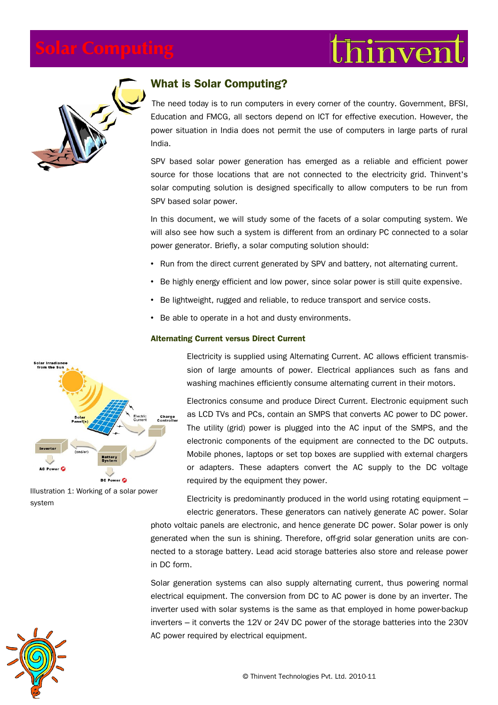



# **What is Solar Computing?**

The need today is to run computers in every corner of the country. Government, BFSI, Education and FMCG, all sectors depend on ICT for effective execution. However, the power situation in India does not permit the use of computers in large parts of rural India.

SPV based solar power generation has emerged as a reliable and efficient power source for those locations that are not connected to the electricity grid. Thinvent's solar computing solution is designed specifically to allow computers to be run from SPV based solar power.

In this document, we will study some of the facets of a solar computing system. We will also see how such a system is different from an ordinary PC connected to a solar power generator. Briefly, a solar computing solution should:

- Run from the direct current generated by SPV and battery, not alternating current.
- Be highly energy efficient and low power, since solar power is still quite expensive.
- Be lightweight, rugged and reliable, to reduce transport and service costs.
- Be able to operate in a hot and dusty environments.

#### **Alternating Current versus Direct Current**



Illustration 1: Working of a solar power system

Electricity is supplied using Alternating Current. AC allows efficient transmission of large amounts of power. Electrical appliances such as fans and washing machines efficiently consume alternating current in their motors.

Electronics consume and produce Direct Current. Electronic equipment such as LCD TVs and PCs, contain an SMPS that converts AC power to DC power. The utility (grid) power is plugged into the AC input of the SMPS, and the electronic components of the equipment are connected to the DC outputs. Mobile phones, laptops or set top boxes are supplied with external chargers or adapters. These adapters convert the AC supply to the DC voltage required by the equipment they power.

Electricity is predominantly produced in the world using rotating equipment – electric generators. These generators can natively generate AC power. Solar

photo voltaic panels are electronic, and hence generate DC power. Solar power is only generated when the sun is shining. Therefore, off-grid solar generation units are connected to a storage battery. Lead acid storage batteries also store and release power in DC form.

Solar generation systems can also supply alternating current, thus powering normal electrical equipment. The conversion from DC to AC power is done by an inverter. The inverter used with solar systems is the same as that employed in home power-backup inverters – it converts the 12V or 24V DC power of the storage batteries into the 230V AC power required by electrical equipment.

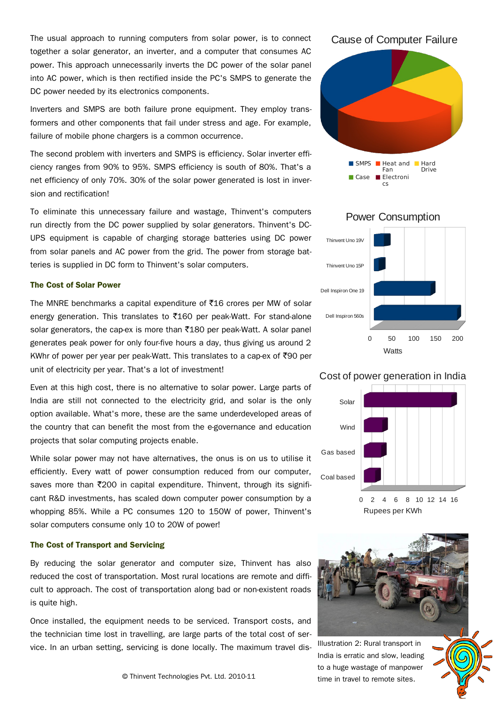The usual approach to running computers from solar power, is to connect together a solar generator, an inverter, and a computer that consumes AC power. This approach unnecessarily inverts the DC power of the solar panel into AC power, which is then rectified inside the PC's SMPS to generate the DC power needed by its electronics components.

Inverters and SMPS are both failure prone equipment. They employ transformers and other components that fail under stress and age. For example, failure of mobile phone chargers is a common occurrence.

The second problem with inverters and SMPS is efficiency. Solar inverter efficiency ranges from 90% to 95%. SMPS efficiency is south of 80%. That's a net efficiency of only 70%. 30% of the solar power generated is lost in inversion and rectification!

To eliminate this unnecessary failure and wastage, Thinvent's computers run directly from the DC power supplied by solar generators. Thinvent's DC-UPS equipment is capable of charging storage batteries using DC power from solar panels and AC power from the grid. The power from storage batteries is supplied in DC form to Thinvent's solar computers.

#### **The Cost of Solar Power**

The MNRE benchmarks a capital expenditure of  $\text{\texttt{\$16}}$  crores per MW of solar energy generation. This translates to  $\bar{x}$ 160 per peak-Watt. For stand-alone solar generators, the cap-ex is more than  $\overline{5}180$  per peak-Watt. A solar panel generates peak power for only four-five hours a day, thus giving us around 2 KWhr of power per year per peak-Watt. This translates to a cap-ex of  $\overline{5}90$  per unit of electricity per year. That's a lot of investment!

Even at this high cost, there is no alternative to solar power. Large parts of India are still not connected to the electricity grid, and solar is the only option available. What's more, these are the same underdeveloped areas of the country that can benefit the most from the e-governance and education projects that solar computing projects enable.

While solar power may not have alternatives, the onus is on us to utilise it efficiently. Every watt of power consumption reduced from our computer, saves more than ₹200 in capital expenditure. Thinvent, through its significant R&D investments, has scaled down computer power consumption by a whopping 85%. While a PC consumes 120 to 150W of power, Thinvent's solar computers consume only 10 to 20W of power!

#### **The Cost of Transport and Servicing**

By reducing the solar generator and computer size, Thinvent has also reduced the cost of transportation. Most rural locations are remote and difficult to approach. The cost of transportation along bad or non-existent roads is quite high.

Once installed, the equipment needs to be serviced. Transport costs, and the technician time lost in travelling, are large parts of the total cost of service. In an urban setting, servicing is done locally. The maximum travel dis-

#### Cause of Computer Failure



# Dell Inspiron 560s Dell Inspiron One 19 Thinvent Uno 15P Thinvent Uno 19V 0 50 100 150 200 **Watts**

### Cost of power generation in India



Rupees per KWh



Illustration 2: Rural transport in India is erratic and slow, leading to a huge wastage of manpower time in travel to remote sites.

## Power Consumption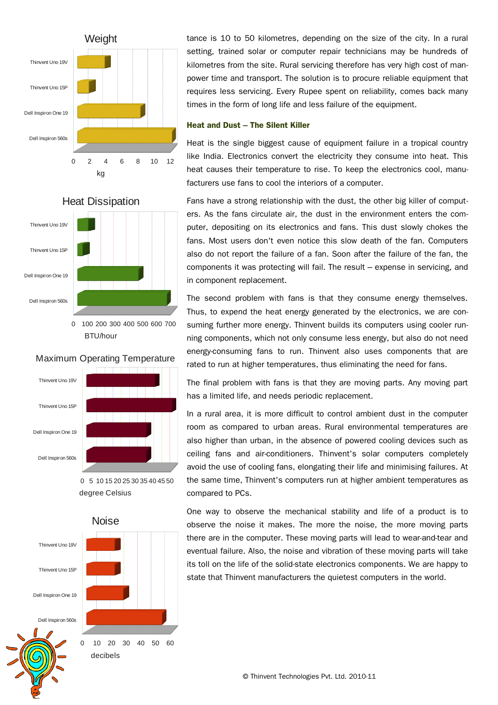

tance is 10 to 50 kilometres, depending on the size of the city. In a rural setting, trained solar or computer repair technicians may be hundreds of kilometres from the site. Rural servicing therefore has very high cost of manpower time and transport. The solution is to procure reliable equipment that requires less servicing. Every Rupee spent on reliability, comes back many times in the form of long life and less failure of the equipment.

#### **Heat and Dust – The Silent Killer**

Heat is the single biggest cause of equipment failure in a tropical country like India. Electronics convert the electricity they consume into heat. This heat causes their temperature to rise. To keep the electronics cool, manufacturers use fans to cool the interiors of a computer.



<sup>0</sup> 100 200 300 400 500 600 700 BTU/hour

#### Maximum Operating Temperature



0 5 10 15 20 25 30 35 40 45 50 degree Celsius

Dell Inspiron 560s Dell Inspiron One 19 Thinvent Uno 15P Thinvent Uno 19V 0 10 20 30 40 50 60 Noise decibels

Fans have a strong relationship with the dust, the other big killer of computers. As the fans circulate air, the dust in the environment enters the computer, depositing on its electronics and fans. This dust slowly chokes the fans. Most users don't even notice this slow death of the fan. Computers also do not report the failure of a fan. Soon after the failure of the fan, the components it was protecting will fail. The result – expense in servicing, and in component replacement.

The second problem with fans is that they consume energy themselves. Thus, to expend the heat energy generated by the electronics, we are consuming further more energy. Thinvent builds its computers using cooler running components, which not only consume less energy, but also do not need energy-consuming fans to run. Thinvent also uses components that are rated to run at higher temperatures, thus eliminating the need for fans.

The final problem with fans is that they are moving parts. Any moving part has a limited life, and needs periodic replacement.

In a rural area, it is more difficult to control ambient dust in the computer room as compared to urban areas. Rural environmental temperatures are also higher than urban, in the absence of powered cooling devices such as ceiling fans and air-conditioners. Thinvent's solar computers completely avoid the use of cooling fans, elongating their life and minimising failures. At the same time, Thinvent's computers run at higher ambient temperatures as compared to PCs.

One way to observe the mechanical stability and life of a product is to observe the noise it makes. The more the noise, the more moving parts there are in the computer. These moving parts will lead to wear-and-tear and eventual failure. Also, the noise and vibration of these moving parts will take its toll on the life of the solid-state electronics components. We are happy to state that Thinvent manufacturers the quietest computers in the world.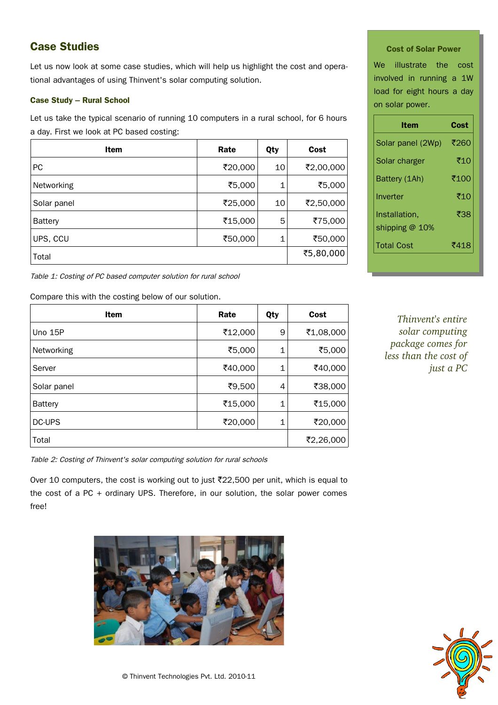# **Case Studies**

Let us now look at some case studies, which will help us highlight the cost and operational advantages of using Thinvent's solar computing solution.

### **Case Study – Rural School**

Let us take the typical scenario of running 10 computers in a rural school, for 6 hours a day. First we look at PC based costing:

| Item           | Rate    | Qty         | Cost      |
|----------------|---------|-------------|-----------|
| <b>PC</b>      | ₹20,000 | 10          | ₹2,00,000 |
| Networking     | ₹5,000  | $\mathbf 1$ | ₹5,000    |
| Solar panel    | ₹25,000 | 10          | ₹2,50,000 |
| <b>Battery</b> | ₹15,000 | 5           | ₹75,000   |
| UPS, CCU       | ₹50,000 | 1           | ₹50,000   |
| Total          |         |             | ₹5,80,000 |

Table 1: Costing of PC based computer solution for rural school

Compare this with the costing below of our solution.

| <b>Item</b> | Rate    | Qty | Cost      |
|-------------|---------|-----|-----------|
| Uno 15P     | ₹12,000 | 9   | ₹1,08,000 |
| Networking  | ₹5,000  | 1   | ₹5,000    |
| Server      | ₹40,000 | 1   | ₹40,000   |
| Solar panel | ₹9,500  | 4   | ₹38,000   |
| Battery     | ₹15,000 | 1   | ₹15,000   |
| DC-UPS      | ₹20,000 | 1   | ₹20,000   |
| Total       |         |     | ₹2,26,000 |

Table 2: Costing of Thinvent's solar computing solution for rural schools

Over 10 computers, the cost is working out to just  $\text{\texttt{722,500}}$  per unit, which is equal to the cost of a PC + ordinary UPS. Therefore, in our solution, the solar power comes free!



#### **Cost of Solar Power**

We illustrate the cost involved in running a 1W load for eight hours a day on solar power.

| Item              | Cost |
|-------------------|------|
| Solar panel (2Wp) | ₹260 |
| Solar charger     | ₹10  |
| Battery (1Ah)     | ₹100 |
| Inverter          | ₹10  |
| Installation.     | ₹38  |
| shipping @ 10%    |      |
| <b>Total Cost</b> | ₹418 |

*Thinvent's entire solar computing package comes for less than the cost of just a PC*

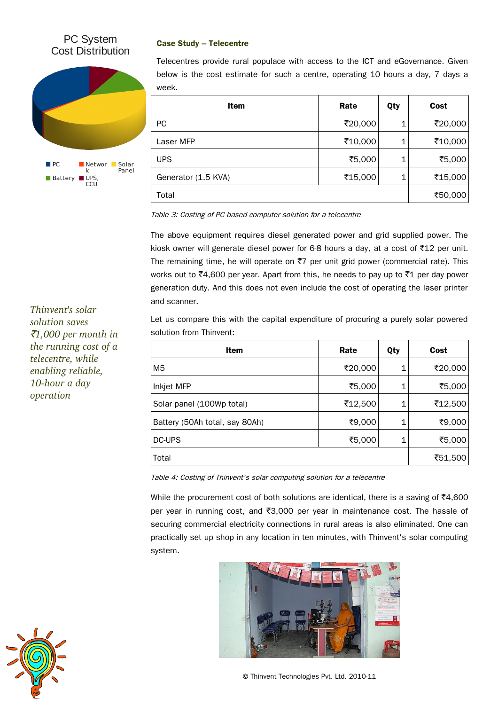# PC System Cost Distribution



### **Case Study – Telecentre**

Telecentres provide rural populace with access to the ICT and eGovernance. Given below is the cost estimate for such a centre, operating 10 hours a day, 7 days a week.

| <b>Item</b>         | Rate    | Qty | Cost    |
|---------------------|---------|-----|---------|
| <b>PC</b>           | ₹20,000 | 1   | ₹20,000 |
| Laser MFP           | ₹10,000 | 1   | ₹10,000 |
| <b>UPS</b>          | ₹5,000  | 1   | ₹5,000  |
| Generator (1.5 KVA) | ₹15,000 | 1   | ₹15,000 |
| Total               |         |     | ₹50,000 |

Table 3: Costing of PC based computer solution for a telecentre

The above equipment requires diesel generated power and grid supplied power. The kiosk owner will generate diesel power for 6-8 hours a day, at a cost of  $\overline{512}$  per unit. The remaining time, he will operate on  $\overline{z}7$  per unit grid power (commercial rate). This works out to  $\overline{z}4,600$  per year. Apart from this, he needs to pay up to  $\overline{z}1$  per day power generation duty. And this does not even include the cost of operating the laser printer and scanner.

Let us compare this with the capital expenditure of procuring a purely solar powered solution from Thinvent:

| Item                           | Rate    | Qty | Cost    |
|--------------------------------|---------|-----|---------|
| M <sub>5</sub>                 | ₹20,000 | 1   | ₹20,000 |
| Inkjet MFP                     | ₹5,000  | 1   | ₹5,000  |
| Solar panel (100Wp total)      | ₹12,500 | 1   | ₹12,500 |
| Battery (50Ah total, say 80Ah) | ₹9,000  | 1   | ₹9,000  |
| DC-UPS                         | ₹5,000  | 1   | ₹5,000  |
| Total                          |         |     | ₹51,500 |

Table 4: Costing of Thinvent's solar computing solution for a telecentre

While the procurement cost of both solutions are identical, there is a saving of  $\overline{z}4,600$ per year in running cost, and  $\overline{3}3,000$  per year in maintenance cost. The hassle of securing commercial electricity connections in rural areas is also eliminated. One can practically set up shop in any location in ten minutes, with Thinvent's solar computing system.



© Thinvent Technologies Pvt. Ltd. 2010-11

*Thinvent's solar solution saves* `*1,000 per month in the running cost of a telecentre, while enabling reliable,*  10-hour a day *operation*